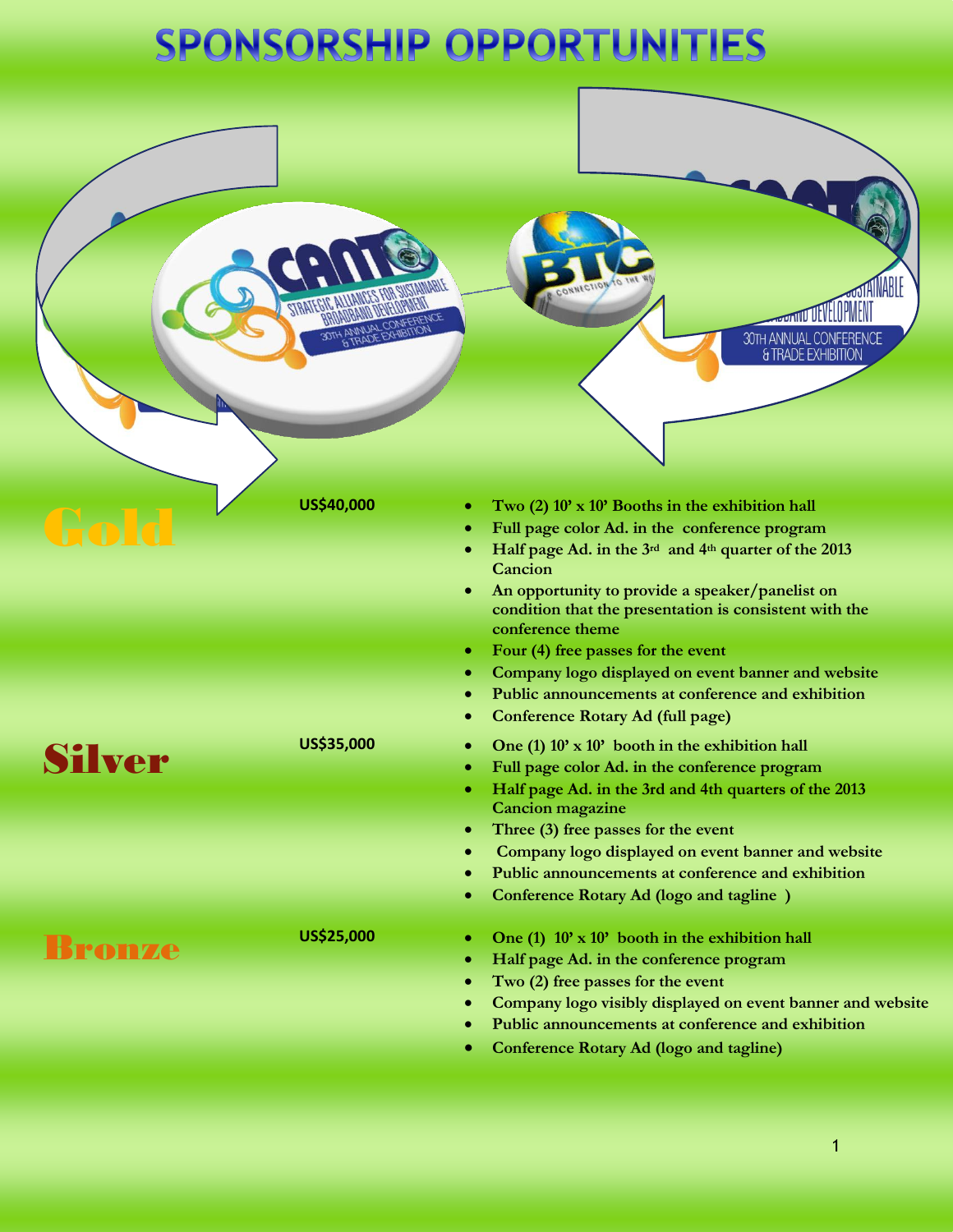# SPONSORSHIP OPPORTUNITIES

## *MATUEVELOPMEI* 30TH ANNUAL CONFERENCE **& TRADE EXHIBITION** US\$40,000 **•** Two (2) 10' x 10' Booths in the exhibition hall<br> **•** Full page color Ad. in the conference program<br>
• Half page Ad. in the 3<sup>rd</sup> and 4<sup>th</sup> quarter of the 2013 **Full page color Ad. in the conference program Cancion An opportunity to provide a speaker/panelist on condition that the presentation is consistent with the conference theme Four (4) free passes for the event Company logo displayed on event banner and website Public announcements at conference and exhibition Conference Rotary Ad (full page)** US\$35,000 **b** One (1) 10' x 10' booth in the exhibition hall<br> **Silver**<br> **Conference program**<br> **Conference program Half page Ad. in the 3rd and 4th quarters of the 2013 Cancion magazine Three (3) free passes for the event Company logo displayed on event banner and website Public announcements at conference and exhibition Conference Rotary Ad (logo and tagline ) Bronze** US\$25,000 **•** One (1)  $10' \times 10'$  booth in the exhibition hall **Half page Ad. in the conference program Two (2) free passes for the event Company logo visibly displayed on event banner and website Public announcements at conference and exhibition Conference Rotary Ad (logo and tagline)**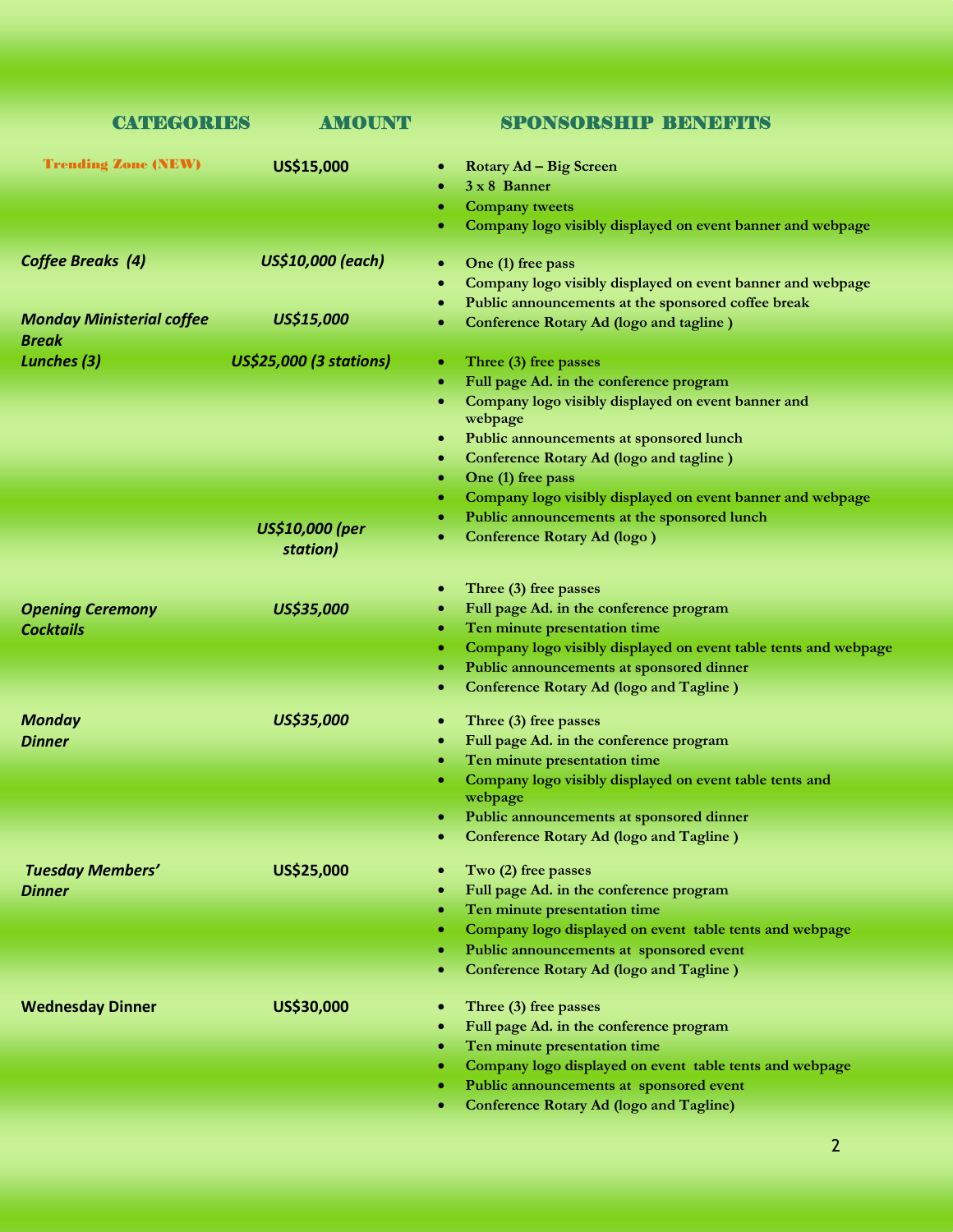| <b>CATEGORIES</b>                                | <b>AMOUNT</b>                  | <b>SPONSORSHIP BENEFITS</b>                                          |
|--------------------------------------------------|--------------------------------|----------------------------------------------------------------------|
| <b>Trending Zone (NEW)</b>                       | US\$15,000                     | Rotary Ad - Big Screen<br>٠                                          |
|                                                  |                                | $3 \times 8$ Banner                                                  |
|                                                  |                                | <b>Company tweets</b><br>۰                                           |
|                                                  |                                | Company logo visibly displayed on event banner and webpage<br>۰      |
| <b>Coffee Breaks (4)</b>                         | US\$10,000 (each)              | One (1) free pass<br>$\bullet$                                       |
|                                                  |                                | Company logo visibly displayed on event banner and webpage<br>٠      |
|                                                  |                                | Public announcements at the sponsored coffee break<br>$\bullet$      |
| <b>Monday Ministerial coffee</b><br><b>Break</b> | US\$15,000                     | Conference Rotary Ad (logo and tagline)                              |
| Lunches (3)                                      | <b>US\$25,000 (3 stations)</b> | Three (3) free passes<br>۰                                           |
|                                                  |                                | Full page Ad. in the conference program<br>۰                         |
|                                                  |                                | Company logo visibly displayed on event banner and<br>٠              |
|                                                  |                                | webpage                                                              |
|                                                  |                                | Public announcements at sponsored lunch<br>$\bullet$                 |
|                                                  |                                | Conference Rotary Ad (logo and tagline)<br>٠                         |
|                                                  |                                | One (1) free pass<br>٠                                               |
|                                                  |                                | Company logo visibly displayed on event banner and webpage<br>۰      |
|                                                  | <b>US\$10,000 (per</b>         | Public announcements at the sponsored lunch                          |
|                                                  | station)                       | <b>Conference Rotary Ad (logo)</b>                                   |
|                                                  |                                | Three (3) free passes<br>$\bullet$                                   |
| <b>Opening Ceremony</b>                          | US\$35,000                     | Full page Ad. in the conference program<br>٠                         |
| <b>Cocktails</b>                                 |                                | Ten minute presentation time<br>٠                                    |
|                                                  |                                | Company logo visibly displayed on event table tents and webpage<br>۰ |
|                                                  |                                | Public announcements at sponsored dinner<br>٠                        |
|                                                  |                                | <b>Conference Rotary Ad (logo and Tagline)</b><br>۰                  |
| <b>Monday</b>                                    | US\$35,000                     | Three (3) free passes<br>$\bullet$                                   |
| <b>Dinner</b>                                    |                                | Full page Ad. in the conference program<br>٠                         |
|                                                  |                                | Ten minute presentation time                                         |
|                                                  |                                | Company logo visibly displayed on event table tents and              |
|                                                  |                                | webpage                                                              |
|                                                  |                                | Public announcements at sponsored dinner                             |
|                                                  |                                | <b>Conference Rotary Ad (logo and Tagline)</b>                       |
| <b>Tuesday Members'</b>                          | US\$25,000                     | Two (2) free passes<br>٠                                             |
| <b>Dinner</b>                                    |                                | Full page Ad. in the conference program                              |
|                                                  |                                | Ten minute presentation time<br>۰                                    |
|                                                  |                                | Company logo displayed on event table tents and webpage              |
|                                                  |                                | Public announcements at sponsored event<br>۰                         |
|                                                  |                                | <b>Conference Rotary Ad (logo and Tagline)</b>                       |
| <b>Wednesday Dinner</b>                          | US\$30,000                     | Three (3) free passes                                                |
|                                                  |                                | Full page Ad. in the conference program                              |
|                                                  |                                | Ten minute presentation time                                         |
|                                                  |                                | Company logo displayed on event table tents and webpage<br>۰         |
|                                                  |                                | Public announcements at sponsored event<br>۰                         |
|                                                  |                                | <b>Conference Rotary Ad (logo and Tagline)</b>                       |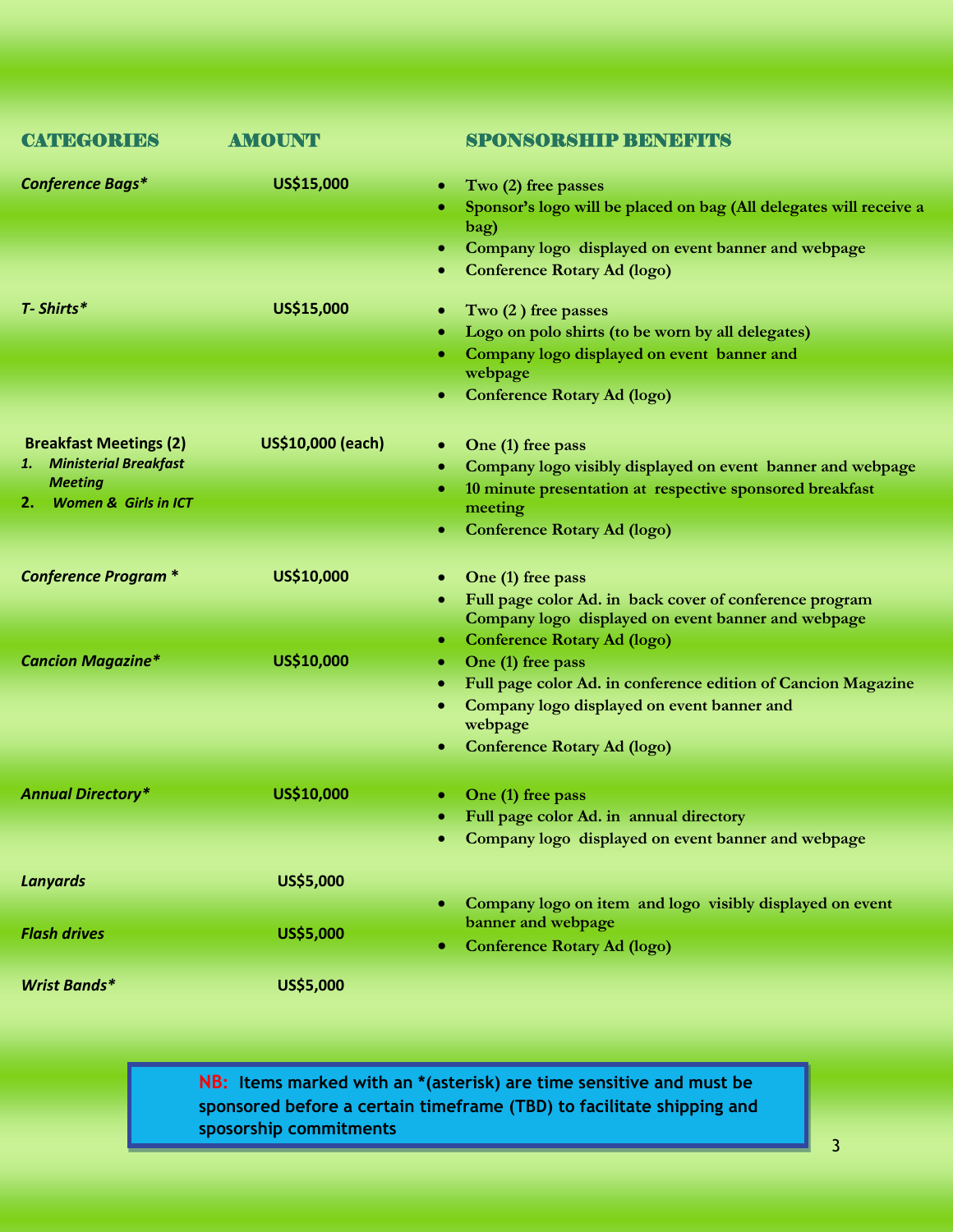| <b>CATEGORIES</b>                                                                                                    | <b>AMOUNT</b>     | <b>SPONSORSHIP BENEFITS</b>                                                                                                                                                                                     |
|----------------------------------------------------------------------------------------------------------------------|-------------------|-----------------------------------------------------------------------------------------------------------------------------------------------------------------------------------------------------------------|
| <b>Conference Bags*</b>                                                                                              | US\$15,000        | Two (2) free passes<br>$\bullet$<br>Sponsor's logo will be placed on bag (All delegates will receive a<br>bag)<br>Company logo displayed on event banner and webpage<br>٠<br><b>Conference Rotary Ad (logo)</b> |
| T- Shirts*                                                                                                           | US\$15,000        | Two (2) free passes<br>Logo on polo shirts (to be worn by all delegates)<br>۰<br>Company logo displayed on event banner and<br>۰<br>webpage<br><b>Conference Rotary Ad (logo)</b>                               |
| <b>Breakfast Meetings (2)</b><br>1. Ministerial Breakfast<br><b>Meeting</b><br><b>Women &amp; Girls in ICT</b><br>2. | US\$10,000 (each) | One (1) free pass<br>$\bullet$<br>Company logo visibly displayed on event banner and webpage<br>10 minute presentation at respective sponsored breakfast<br>meeting<br><b>Conference Rotary Ad (logo)</b>       |
| <b>Conference Program *</b>                                                                                          | US\$10,000        | One (1) free pass<br>$\bullet$<br>Full page color Ad. in back cover of conference program<br>Company logo displayed on event banner and webpage<br><b>Conference Rotary Ad (logo)</b><br>٠                      |
| <b>Cancion Magazine*</b>                                                                                             | US\$10,000        | One (1) free pass<br>۰<br>Full page color Ad. in conference edition of Cancion Magazine<br>٠<br>Company logo displayed on event banner and<br>۰<br>webpage<br><b>Conference Rotary Ad (logo)</b><br>۰           |
| <b>Annual Directory*</b>                                                                                             | US\$10,000        | One (1) free pass<br>• Full page color Ad. in annual directory<br>Company logo displayed on event banner and webpage                                                                                            |
| <b>Lanyards</b>                                                                                                      | US\$5,000         |                                                                                                                                                                                                                 |
| <b>Flash drives</b>                                                                                                  | US\$5,000         | Company logo on item and logo visibly displayed on event<br>banner and webpage<br><b>Conference Rotary Ad (logo)</b>                                                                                            |
| <b>Wrist Bands*</b>                                                                                                  | US\$5,000         |                                                                                                                                                                                                                 |

**NB: Items marked with an \* (asterisk) are time sensitive and must be sponsored before a certain timeframe (TBD) to facilitate shipping and sposorship commitments**